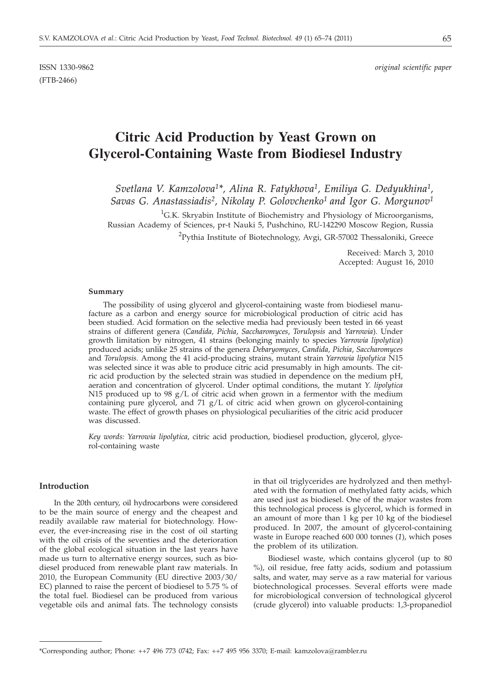(FTB-2466)

# **Citric Acid Production by Yeast Grown on Glycerol-Containing Waste from Biodiesel Industry**

*Svetlana V. Kamzolova1\*, Alina R. Fatykhova1, Emiliya G. Dedyukhina1, Savas G. Anastassiadis2, Nikolay P. Golovchenko1 and Igor G. Morgunov1*

<sup>1</sup>G.K. Skryabin Institute of Biochemistry and Physiology of Microorganisms, Russian Academy of Sciences, pr-t Nauki 5, Pushchino, RU-142290 Moscow Region, Russia <sup>2</sup>Pythia Institute of Biotechnology, Avgi, GR-57002 Thessaloniki, Greece

> Received: March 3, 2010 Accepted: August 16, 2010

#### **Summary**

The possibility of using glycerol and glycerol-containing waste from biodiesel manufacture as a carbon and energy source for microbiological production of citric acid has been studied. Acid formation on the selective media had previously been tested in 66 yeast strains of different genera (*Candida, Pichia*, *Saccharomyces*, *Torulopsis* and *Yarrowia*). Under growth limitation by nitrogen, 41 strains (belonging mainly to species *Yarrowia lipolytica*) produced acids; unlike 25 strains of the genera *Debaryomyces*, *Candida, Pichia*, *Saccharomyces* and *Torulopsis*. Among the 41 acid-producing strains, mutant strain *Yarrowia lipolytica* N15 was selected since it was able to produce citric acid presumably in high amounts. The citric acid production by the selected strain was studied in dependence on the medium pH, aeration and concentration of glycerol. Under optimal conditions, the mutant *Y. lipolytica* N15 produced up to 98  $g/L$  of citric acid when grown in a fermentor with the medium containing pure glycerol, and 71 g/L of citric acid when grown on glycerol-containing waste. The effect of growth phases on physiological peculiarities of the citric acid producer was discussed.

*Key words: Yarrowia lipolytica,* citric acid production, biodiesel production, glycerol, glycerol-containing waste

## **Introduction**

In the 20th century, oil hydrocarbons were considered to be the main source of energy and the cheapest and readily available raw material for biotechnology. However, the ever-increasing rise in the cost of oil starting with the oil crisis of the seventies and the deterioration of the global ecological situation in the last years have made us turn to alternative energy sources, such as biodiesel produced from renewable plant raw materials. In 2010, the European Community (EU directive 2003/30/ EC) planned to raise the percent of biodiesel to 5.75 % of the total fuel. Biodiesel can be produced from various vegetable oils and animal fats. The technology consists in that oil triglycerides are hydrolyzed and then methylated with the formation of methylated fatty acids, which are used just as biodiesel. One of the major wastes from this technological process is glycerol, which is formed in an amount of more than 1 kg per 10 kg of the biodiesel produced. In 2007, the amount of glycerol-containing waste in Europe reached 600 000 tonnes (*1*), which poses the problem of its utilization.

Biodiesel waste, which contains glycerol (up to 80 %), oil residue, free fatty acids, sodium and potassium salts, and water, may serve as a raw material for various biotechnological processes. Several efforts were made for microbiological conversion of technological glycerol (crude glycerol) into valuable products: 1,3-propanediol

<sup>\*</sup>Corresponding author; Phone: ++7 496 773 0742; Fax: ++7 495 956 3370; E-mail: kamzolova@rambler.ru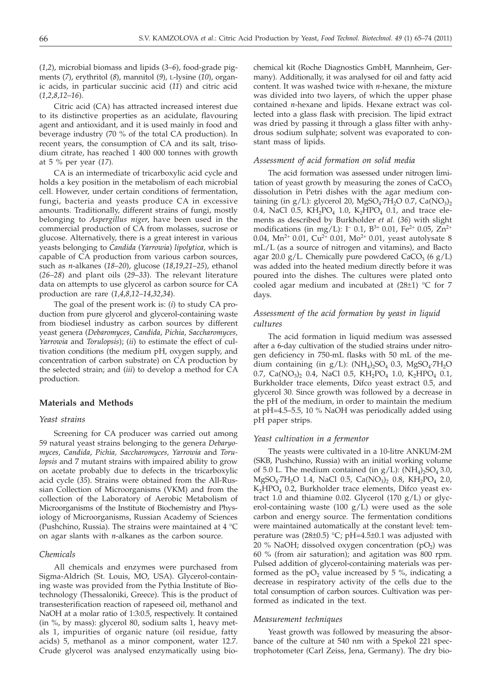(*1*,*2*), microbial biomass and lipids (*3*–*6*), food-grade pigments (*7*), erythritol (*8*), mannitol (*9*), L-lysine (*10*), organic acids, in particular succinic acid (*11*) and citric acid (*1*,*2*,*8*,*12*–*16*).

Citric acid (CA) has attracted increased interest due to its distinctive properties as an acidulate, flavouring agent and antioxidant, and it is used mainly in food and beverage industry (70 % of the total CA production). In recent years, the consumption of CA and its salt, trisodium citrate, has reached 1 400 000 tonnes with growth at 5 % per year (*17*).

CA is an intermediate of tricarboxylic acid cycle and holds a key position in the metabolism of each microbial cell. However, under certain conditions of fermentation, fungi, bacteria and yeasts produce CA in excessive amounts. Traditionally, different strains of fungi, mostly belonging to *Aspergillus niger*, have been used in the commercial production of CA from molasses, sucrose or glucose. Alternatively, there is a great interest in various yeasts belonging to *Candida* (*Yarrowia*) *lipolytica,* which is capable of CA production from various carbon sources, such as *n*-alkanes (*18*–*20*), glucose (*18*,*19*,*21*–*25*), ethanol (*26*–*28*) and plant oils (*29*–*33*). The relevant literature data on attempts to use glycerol as carbon source for CA production are rare (*1*,*4*,*8*,*12*–*14*,*32*,*34*).

The goal of the present work is: (*i*) to study CA production from pure glycerol and glycerol-containing waste from biodiesel industry as carbon sources by different yeast genera (*Debaromyces*, *Candida*, *Pichia*, *Saccharomyces, Yarrowia* and *Torulopsis*); (*ii*) to estimate the effect of cultivation conditions (the medium pH, oxygen supply, and concentration of carbon substrate) on CA production by the selected strain; and (*iii*) to develop a method for CA production.

## **Materials and Methods**

#### *Yeast strains*

Screening for CA producer was carried out among 59 natural yeast strains belonging to the genera *Debaryomyces, Candida*, *Pichia, Saccharomyces, Yarrowia* and *Torulopsis* and 7 mutant strains with impaired ability to grow on acetate probably due to defects in the tricarboxylic acid cycle (*35*). Strains were obtained from the All-Russian Collection of Microorganisms (VKM) and from the collection of the Laboratory of Aerobic Metabolism of Microorganisms of the Institute of Biochemistry and Physiology of Microorganisms, Russian Academy of Sciences (Pushchino, Russia). The strains were maintained at 4 °C on agar slants with *n*-alkanes as the carbon source.

## *Chemicals*

All chemicals and enzymes were purchased from Sigma-Aldrich (St. Louis, MO, USA). Glycerol-containing waste was provided from the Pythia Institute of Biotechnology (Thessaloniki, Greece). This is the product of transesterification reaction of rapeseed oil, methanol and NaOH at a molar ratio of 1:3:0.5, respectively. It contained (in %, by mass): glycerol 80, sodium salts 1, heavy metals 1, impurities of organic nature (oil residue, fatty acids) 5, methanol as a minor component, water 12.7. Crude glycerol was analysed enzymatically using bio-

chemical kit (Roche Diagnostics GmbH, Mannheim, Germany). Additionally, it was analysed for oil and fatty acid content. It was washed twice with *n*-hexane, the mixture was divided into two layers, of which the upper phase contained *n*-hexane and lipids. Hexane extract was collected into a glass flask with precision. The lipid extract was dried by passing it through a glass filter with anhydrous sodium sulphate; solvent was evaporated to constant mass of lipids.

# *Assessment of acid formation on solid media*

The acid formation was assessed under nitrogen limitation of yeast growth by measuring the zones of  $CaCO<sub>3</sub>$ dissolution in Petri dishes with the agar medium containing (in  $g/L$ ): glycerol 20, MgSO<sub>4</sub>.7H<sub>2</sub>O 0.7, Ca(NO<sub>3</sub>)<sub>2</sub> 0.4, NaCl 0.5,  $KH_2PO_4$  1.0,  $K_2HPO_4$  0.1, and trace elements as described by Burkholder *et al.* (*36*) with slight modifications (in mg/L): I<sup>-</sup> 0.1, B<sup>3+</sup> 0.01, Fe<sup>2+</sup> 0.05, Zn<sup>2+</sup> 0.04, Mn<sup>2+</sup> 0.01, Cu<sup>2+</sup> 0.01, Mo<sup>2+</sup> 0.01, yeast autolysate 8 mL/L (as a source of nitrogen and vitamins), and Bacto agar 20.0 g/L. Chemically pure powdered CaCO<sub>3</sub> (6 g/L) was added into the heated medium directly before it was poured into the dishes. The cultures were plated onto cooled agar medium and incubated at  $(28±1)$  °C for 7 days.

## *Assessment of the acid formation by yeast in liquid cultures*

The acid formation in liquid medium was assessed after a 6-day cultivation of the studied strains under nitrogen deficiency in 750-mL flasks with 50 mL of the medium containing (in  $g/L$ ): (NH<sub>4</sub>)<sub>2</sub>SO<sub>4</sub> 0.3, MgSO<sub>4</sub>·7H<sub>2</sub>O 0.7, Ca(NO<sub>3</sub>), 0.4, NaCl 0.5, KH<sub>2</sub>PO<sub>4</sub> 1.0, K<sub>2</sub>HPO<sub>4</sub> 0.1, Burkholder trace elements, Difco yeast extract 0.5, and glycerol 30. Since growth was followed by a decrease in the pH of the medium, in order to maintain the medium at pH=4.5–5.5, 10 % NaOH was periodically added using pH paper strips.

# *Yeast cultivation in a fermentor*

The yeasts were cultivated in a 10-litre ANKUM-2M (SKB, Pushchino, Russia) with an initial working volume of 5.0 L. The medium contained (in  $g/L$ ): (NH<sub>4</sub>)<sub>2</sub>SO<sub>4</sub> 3.0,  $MgSO_4$ -7H<sub>2</sub>O 1.4, NaCl 0.5, Ca(NO<sub>3</sub>)<sub>2</sub> 0.8, KH<sub>2</sub>PO<sub>4</sub> 2.0, K<sub>2</sub>HPO<sub>4</sub> 0.2, Burkholder trace elements, Difco yeast extract 1.0 and thiamine 0.02. Glycerol (170  $g/L$ ) or glycerol-containing waste  $(100 \text{ g/L})$  were used as the sole carbon and energy source. The fermentation conditions were maintained automatically at the constant level: temperature was  $(28\pm0.5)$  °C; pH=4.5 $\pm$ 0.1 was adjusted with 20 % NaOH; dissolved oxygen concentration  $(pO<sub>2</sub>)$  was 60 % (from air saturation); and agitation was 800 rpm. Pulsed addition of glycerol-containing materials was performed as the  $pO<sub>2</sub>$  value increased by 5 %, indicating a decrease in respiratory activity of the cells due to the total consumption of carbon sources. Cultivation was performed as indicated in the text.

#### *Measurement techniques*

Yeast growth was followed by measuring the absorbance of the culture at 540 nm with a Spekol 221 spectrophotometer (Carl Zeiss, Jena, Germany). The dry bio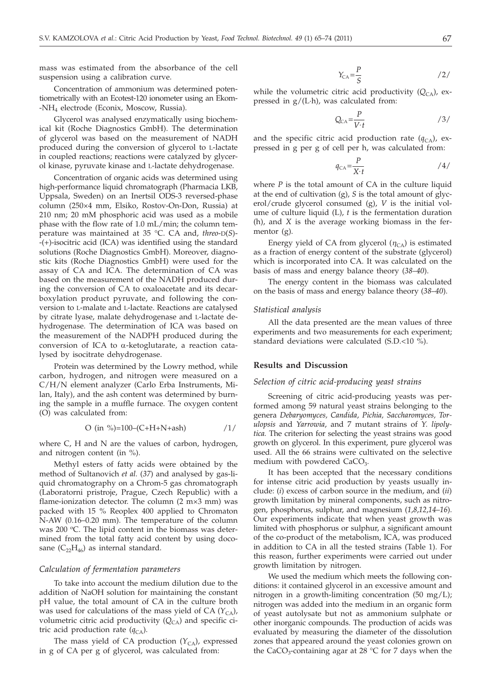mass was estimated from the absorbance of the cell suspension using a calibration curve.

Concentration of ammonium was determined potentiometrically with an Ecotest-120 ionometer using an Ekom- -NH4 electrode (Econix, Moscow, Russia).

Glycerol was analysed enzymatically using biochemical kit (Roche Diagnostics GmbH). The determination of glycerol was based on the measurement of NADH produced during the conversion of glycerol to L-lactate in coupled reactions; reactions were catalyzed by glycerol kinase, pyruvate kinase and L-lactate dehydrogenase.

Concentration of organic acids was determined using high-performance liquid chromatograph (Pharmacia LKB, Uppsala, Sweden) on an Inertsil ODS-3 reversed-phase column (250×4 mm, Elsiko, Rostov-On-Don, Russia) at 210 nm; 20 mM phosphoric acid was used as a mobile phase with the flow rate of 1.0 mL/min; the column temperature was maintained at 35 °C. CA and, *threo*-D(*S*)- -(+)-isocitric acid (ICA) was identified using the standard solutions (Roche Diagnostics GmbH). Moreover, diagnostic kits (Roche Diagnostics GmbH) were used for the assay of CA and ICA. The determination of CA was based on the measurement of the NADH produced during the conversion of CA to oxaloacetate and its decarboxylation product pyruvate, and following the conversion to L-malate and L-lactate. Reactions are catalysed by citrate lyase, malate dehydrogenase and L-lactate dehydrogenase. The determination of ICA was based on the measurement of the NADPH produced during the conversion of ICA to  $\alpha$ -ketoglutarate, a reaction catalysed by isocitrate dehydrogenase.

Protein was determined by the Lowry method, while carbon, hydrogen, and nitrogen were measured on a C/H/N element analyzer (Carlo Erba Instruments, Milan, Italy), and the ash content was determined by burning the sample in a muffle furnace. The oxygen content (O) was calculated from:

$$
O \text{ (in } \%)=100-(C+H+N+ash)
$$
 /1/

where C, H and N are the values of carbon, hydrogen, and nitrogen content (in %).

Methyl esters of fatty acids were obtained by the method of Sultanovich *et al.* (*37*) and analysed by gas-liquid chromatography on a Chrom-5 gas chromatograph (Laboratorni pristroje, Prague, Czech Republic) with a flame-ionization detector. The column (2 m×3 mm) was packed with 15 % Reoplex 400 applied to Chromaton N-AW (0.16–0.20 mm). The temperature of the column was 200  $^{\circ}$ C. The lipid content in the biomass was determined from the total fatty acid content by using docosane  $(C_{22}H_{46})$  as internal standard.

## *Calculation of fermentation parameters*

To take into account the medium dilution due to the addition of NaOH solution for maintaining the constant pH value, the total amount of CA in the culture broth was used for calculations of the mass yield of CA  $(Y_{CA})$ , volumetric citric acid productivity (Q<sub>CA</sub>) and specific citric acid production rate  $(q_{CA})$ .

The mass yield of CA production  $(Y_{CA})$ , expressed in g of CA per g of glycerol, was calculated from:

$$
Y_{\rm CA} = \frac{P}{S} \tag{2}
$$

while the volumetric citric acid productivity  $(Q_{CA})$ , expressed in  $g/(L \cdot h)$ , was calculated from:

$$
Q_{CA} = \frac{P}{V \cdot t} \tag{3/}
$$

and the specific citric acid production rate  $(q_{CA})$ , expressed in g per g of cell per h, was calculated from:

$$
q_{\rm CA} = \frac{P}{X \cdot t} \tag{4/}
$$

where *P* is the total amount of CA in the culture liquid at the end of cultivation (g), *S* is the total amount of glycerol/crude glycerol consumed (g), *V* is the initial volume of culture liquid (L), *t* is the fermentation duration (h), and *X* is the average working biomass in the fermentor (g).

Energy yield of CA from glycerol  $(\eta_{CA})$  is estimated as a fraction of energy content of the substrate (glycerol) which is incorporated into CA. It was calculated on the basis of mass and energy balance theory (*38*–*40*).

The energy content in the biomass was calculated on the basis of mass and energy balance theory (*38*–*40*).

#### *Statistical analysis*

All the data presented are the mean values of three experiments and two measurements for each experiment; standard deviations were calculated (S.D.<10 %).

## **Results and Discussion**

#### *Selection of citric acid-producing yeast strains*

Screening of citric acid-producing yeasts was performed among 59 natural yeast strains belonging to the genera *Debaryomyces, Candida*, *Pichia, Saccharomyces, Torulopsis* and *Yarrowia*, and 7 mutant strains of *Y. lipolytica.* The criterion for selecting the yeast strains was good growth on glycerol. In this experiment, pure glycerol was used. All the 66 strains were cultivated on the selective medium with powdered CaCO<sub>3</sub>.

It has been accepted that the necessary conditions for intense citric acid production by yeasts usually include: (*i*) excess of carbon source in the medium, and (*ii*) growth limitation by mineral components, such as nitrogen, phosphorus, sulphur, and magnesium (*1*,*8*,*12*,*14*–*16*). Our experiments indicate that when yeast growth was limited with phosphorus or sulphur, a significant amount of the co-product of the metabolism, ICA, was produced in addition to CA in all the tested strains (Table 1). For this reason, further experiments were carried out under growth limitation by nitrogen.

We used the medium which meets the following conditions: it contained glycerol in an excessive amount and nitrogen in a growth-limiting concentration (50 mg/L); nitrogen was added into the medium in an organic form of yeast autolysate but not as ammonium sulphate or other inorganic compounds. The production of acids was evaluated by measuring the diameter of the dissolution zones that appeared around the yeast colonies grown on the CaCO<sub>3</sub>-containing agar at 28 °C for 7 days when the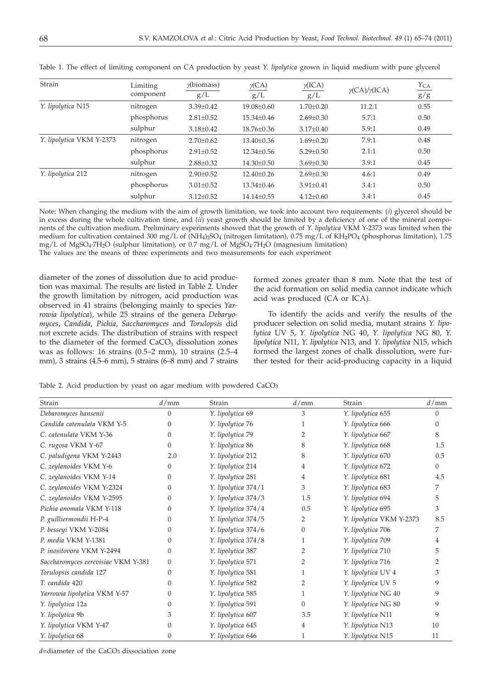| Strain                   | Limiting<br>component | $\gamma$ (biomass)<br>g/L | $\gamma$ (CA)<br>g/L | $\gamma$ (ICA)<br>g/L | $\gamma$ (CA)/ $\gamma$ (ICA) | $\frac{Y_{CA}}{g/g}$ |
|--------------------------|-----------------------|---------------------------|----------------------|-----------------------|-------------------------------|----------------------|
| Y. lipolytica N15        | nitrogen              | $3.39 \pm 0.42$           | $19.08 \pm 0.60$     | $1.70 \pm 0.20$       | 11.2:1                        | 0.55                 |
|                          | phosphorus            | $2.81 \pm 0.52$           | $15.34 \pm 0.46$     | $2.69 \pm 0.30$       | 5.7:1                         | 0.50                 |
|                          | sulphur               | $3.18 \pm 0.42$           | 18.76±0.36           | $3.17 \pm 0.40$       | 5.9:1                         | 0.49                 |
| Y. lipolytica VKM Y-2373 | nitrogen              | $2.70 \pm 0.62$           | $13.40 \pm 0.36$     | $1.69 \pm 0.20$       | 7.9:1                         | 0.48                 |
|                          | phosphorus            | $2.91 \pm 0.52$           | $12.34 \pm 0.56$     | $5.29 \pm 0.50$       | 2.1:1                         | 0.50                 |
|                          | sulphur               | $2.88 \pm 0.32$           | 14.30±0.50           | $3.69 \pm 0.30$       | 3.9:1                         | 0.45                 |
| Y. lipolytica 212        | nitrogen              | $2.90 \pm 0.52$           | $12.40 \pm 0.26$     | $2.69 \pm 0.30$       | 4.6:1                         | 0.49                 |
|                          | phosphorus            | $3.01 \pm 0.52$           | $13.34 \pm 0.46$     | $3.91 \pm 0.41$       | 3.4:1                         | 0.50                 |
|                          | sulphur               | $3.12 \pm 0.52$           | $14.14 \pm 0.55$     | $4.12 \pm 0.60$       | 3.4:1                         | 0.45                 |
|                          |                       |                           |                      |                       |                               |                      |

Table 1. The effect of limiting component on CA production by yeast *Y. lipolytica* grown in liquid medium with pure glycerol

Note: When changing the medium with the aim of growth limitation, we took into account two requirements: (*i*) glycerol should be in excess during the whole cultivation time, and (*ii*) yeast growth should be limited by a deficiency of one of the mineral components of the cultivation medium. Preliminary experiments showed that the growth of *Y. lipolytica* VKM Y-2373 was limited when the medium for cultivation contained 300 mg/L of (NH<sub>4</sub>)<sub>2</sub>SO<sub>4</sub> (nitrogen limitation), 0.75 mg/L of KH<sub>2</sub>PO<sub>4</sub> (phosphorus limitation), 1.75 mg/L of MgSO4·7H2O (sulphur limitation), or 0.7 mg/L of MgSO4·7H2O (magnesium limitation) The values are the means of three experiments and two measurements for each experiment

diameter of the zones of dissolution due to acid production was maximal. The results are listed in Table 2. Under the growth limitation by nitrogen, acid production was observed in 41 strains (belonging mainly to species *Yarrowia lipolytica*), while 25 strains of the genera *Debaryomyces*, *Candida, Pichia*, *Saccharomyces* and *Torulopsis* did not excrete acids. The distribution of strains with respect to the diameter of the formed  $CaCO<sub>3</sub>$  dissolution zones was as follows: 16 strains (0.5–2 mm), 10 strains (2.5–4 mm), 3 strains (4.5–6 mm), 5 strains (6–8 mm) and 7 strains

formed zones greater than 8 mm. Note that the test of the acid formation on solid media cannot indicate which acid was produced (CA or ICA).

To identify the acids and verify the results of the producer selection on solid media, mutant strains *Y. lipolytica* UV 5, *Y. lipolytica* NG 40, *Y. lipolytica* NG 80, *Y. lipolytica* N11, *Y. lipolytica* N13, and *Y. lipolytica* N15, which formed the largest zones of chalk dissolution, were further tested for their acid-producing capacity in a liquid

Table 2. Acid production by yeast on agar medium with powdered CaCO<sub>3</sub>

| Strain                             | d/mm     | Strain              | d/mm     | Strain                   | d/mm     |
|------------------------------------|----------|---------------------|----------|--------------------------|----------|
| Debaromyces hansenii               | $\Omega$ | Y. lipolytica 69    | 3        | Y. lipolytica 655        | 0        |
| Candida catenulata VKM Y-5         | 0        | Y. lipolytica 76    |          | Y. lipolytica 666        | 0        |
| C. catenulata VKM Y-36             | 0        | Y. lipolytica 79    | 2        | Y. lipolytica 667        | 8        |
| C. rugosa VKM Y-67                 | 0        | Y. lipolytica 86    | 8        | Y. lipolytica 668        | 1.5      |
| C. paludigena VKM Y-2443           | 2.0      | Y. lipolytica 212   | 8        | Y. lipolytica 670        | 0.5      |
| C. zeylanoides VKM Y-6             | 0        | Y. lipolytica 214   | 4        | Y. lipolytica 672        | $\Omega$ |
| C. zeylanoides VKM Y-14            | 0        | Y. lipolytica 281   | 4        | Y. lipolytica 681        | 4.5      |
| C. zeylanoides VKM Y-2324          | $\Omega$ | Y. lipolytica 374/1 | 3        | Y. lipolytica 683        |          |
| C. zeylanoides VKM Y-2595          | $\Omega$ | Y. lipolytica 374/3 | 1.5      | Y. lipolytica 694        | 5        |
| Pichia anomala VKM Y-118           | 0        | Y. lipolytica 374/4 | 0.5      | Y. lipolytica 695        | 3        |
| P. guilliermondii H-P-4            | 0        | Y. lipolytica 374/5 | 2        | Y. lipolytica VKM Y-2373 | 8.5      |
| P. besseyi VKM Y-2084              | 0        | Y. lipolytica 374/6 | $\Omega$ | Y. lipolytica 706        | 7        |
| P. media VKM Y-1381                | $\Omega$ | Y. lipolytica 374/8 | 1        | Y. lipolytica 709        | 4        |
| P. inositovora VKM Y-2494          | 0        | Y. lipolytica 387   | 2        | Y. lipolytica 710        | 5        |
| Saccharomyces cerevisiae VKM Y-381 | $\Omega$ | Y. lipolytica 571   | 2        | Y. lipolytica 716        | 2        |
| Torulopsis candida 127             | 0        | Y. lipolytica 581   | 1        | Y. lipolytica UV 4       | 3        |
| T. candida 420                     | 0        | Y. lipolytica 582   | 2        | Y. lipolytica UV 5       | 9        |
| Yarrowia lipolytica VKM Y-57       | $\Omega$ | Y. lipolytica 585   | 1        | Y. lipolytica NG 40      | 9        |
| Y. lipolytica 12a                  | $\Omega$ | Y. lipolytica 591   | 0        | Y. lipolytica NG 80      | 9        |
| Y. lipolytica 9b                   | 3        | Y. lipolytica 607   | 3.5      | Y. lipolytica N11        | 9        |
| Y. lipolytica VKM Y-47             |          | Y. lipolytica 645   | 4        | Y. lipolytica N13        | 10       |
| Y. lipolytica 68                   | 0        | Y. lipolytica 646   | 1        | Y. lipolytica N15        | 11       |

*d*=diameter of the CaCO<sub>3</sub> dissociation zone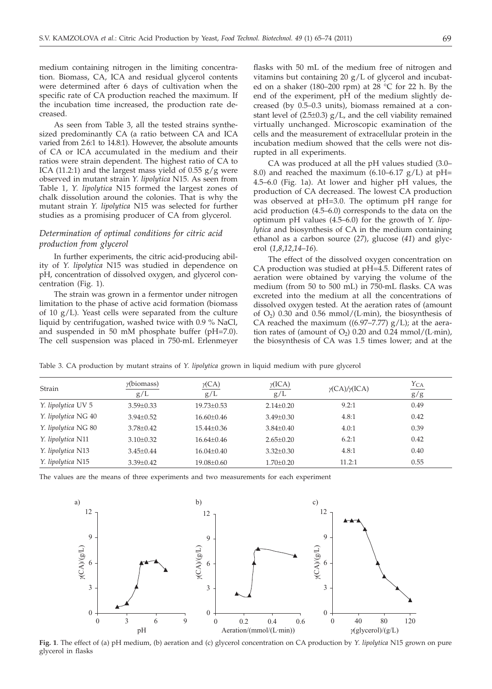medium containing nitrogen in the limiting concentration. Biomass, CA, ICA and residual glycerol contents were determined after 6 days of cultivation when the specific rate of CA production reached the maximum. If the incubation time increased, the production rate decreased.

As seen from Table 3, all the tested strains synthesized predominantly CA (a ratio between CA and ICA varied from 2.6:1 to 14.8:1). However, the absolute amounts of CA or ICA accumulated in the medium and their ratios were strain dependent. The highest ratio of CA to ICA (11.2:1) and the largest mass yield of  $0.55$  g/g were observed in mutant strain *Y. lipolytica* N15. As seen from Table 1, *Y. lipolytica* N15 formed the largest zones of chalk dissolution around the colonies. That is why the mutant strain *Y. lipolytica* N15 was selected for further studies as a promising producer of CA from glycerol.

# *Determination of optimal conditions for citric acid production from glycerol*

In further experiments, the citric acid-producing ability of *Y. lipolytica* N15 was studied in dependence on pH, concentration of dissolved oxygen, and glycerol concentration (Fig. 1).

The strain was grown in a fermentor under nitrogen limitation to the phase of active acid formation (biomass of 10 g/L). Yeast cells were separated from the culture liquid by centrifugation, washed twice with 0.9 % NaCl, and suspended in 50 mM phosphate buffer (pH=7.0). The cell suspension was placed in 750-mL Erlenmeyer

flasks with 50 mL of the medium free of nitrogen and vitamins but containing 20 g/L of glycerol and incubated on a shaker (180–200 rpm) at 28  $°C$  for 22 h. By the end of the experiment, pH of the medium slightly decreased (by 0.5–0.3 units), biomass remained at a constant level of  $(2.5\pm0.3)$  g/L, and the cell viability remained virtually unchanged. Microscopic examination of the cells and the measurement of extracellular protein in the incubation medium showed that the cells were not disrupted in all experiments.

CA was produced at all the pH values studied (3.0– 8.0) and reached the maximum  $(6.10-6.17 \text{ g/L})$  at pH= 4.5–6.0 (Fig. 1a). At lower and higher pH values, the production of CA decreased. The lowest CA production was observed at pH=3.0. The optimum pH range for acid production (4.5–6.0) corresponds to the data on the optimum pH values (4.5–6.0) for the growth of *Y. lipolytica* and biosynthesis of CA in the medium containing ethanol as a carbon source (*27*), glucose (*41*) and glycerol (*1*,*8*,*12*,*14*–*16*).

The effect of the dissolved oxygen concentration on CA production was studied at pH=4.5. Different rates of aeration were obtained by varying the volume of the medium (from 50 to 500 mL) in 750-mL flasks. CA was excreted into the medium at all the concentrations of dissolved oxygen tested. At the aeration rates of (amount of  $O_2$ ) 0.30 and 0.56 mmol/(L·min), the biosynthesis of CA reached the maximum  $((6.97–7.77)$  g/L); at the aeration rates of (amount of  $O_2$ ) 0.20 and 0.24 mmol/(L·min), the biosynthesis of CA was 1.5 times lower; and at the

Table 3. CA production by mutant strains of *Y. lipolytica* grown in liquid medium with pure glycerol

| $\gamma$ (biomass)<br>$\gamma$ (ICA)<br>$\gamma$ (CA)<br>Strain<br>$\gamma$ (CA)/ $\gamma$ (ICA)<br>g/L<br>g/L<br>g/L |                 |                  |                 |        | $Y_{CA}$ |
|-----------------------------------------------------------------------------------------------------------------------|-----------------|------------------|-----------------|--------|----------|
|                                                                                                                       |                 | g/g              |                 |        |          |
| Y. lipolytica UV 5                                                                                                    | $3.59 \pm 0.33$ | $19.73 \pm 0.53$ | $2.14 \pm 0.20$ | 9.2:1  | 0.49     |
| Y. lipolytica NG 40                                                                                                   | $3.94 \pm 0.52$ | $16.60 \pm 0.46$ | $3.49 \pm 0.30$ | 4.8:1  | 0.42     |
| Y. lipolytica NG 80                                                                                                   | $3.78 + 0.42$   | $15.44 + 0.36$   | $3.84 + 0.40$   | 4.0:1  | 0.39     |
| Y. lipolytica N11                                                                                                     | $3.10 \pm 0.32$ | $16.64 \pm 0.46$ | $2.65 \pm 0.20$ | 6.2:1  | 0.42     |
| Y. lipolytica N13                                                                                                     | $3.45 \pm 0.44$ | $16.04 \pm 0.40$ | $3.32 \pm 0.30$ | 4.8:1  | 0.40     |
| Y. lipolytica N15                                                                                                     | $3.39 \pm 0.42$ | $19.08 \pm 0.60$ | $1.70 \pm 0.20$ | 11.2:1 | 0.55     |

The values are the means of three experiments and two measurements for each experiment



**Fig. 1**. The effect of (a) pH medium, (b) aeration and (c) glycerol concentration on CA production by *Y. lipolytica* N15 grown on pure glycerol in flasks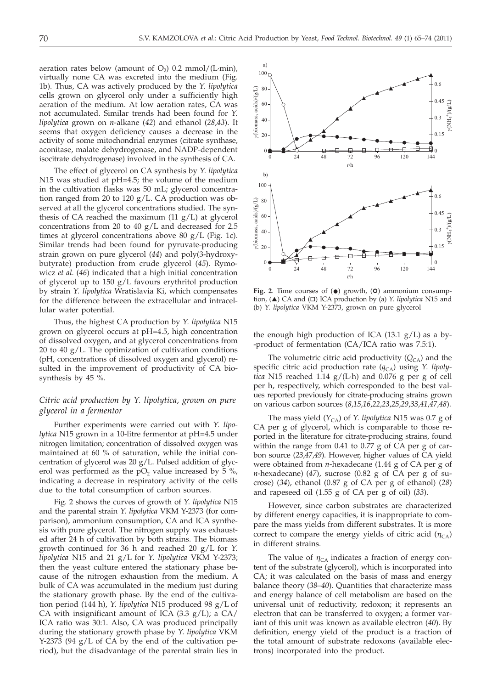aeration rates below (amount of  $O_2$ ) 0.2 mmol/(L·min), virtually none CA was excreted into the medium (Fig. 1b). Thus, CA was actively produced by the *Y. lipolytica* cells grown on glycerol only under a sufficiently high aeration of the medium. At low aeration rates, CA was not accumulated. Similar trends had been found for *Y. lipolytica* grown on *n*-alkane (*42*) and ethanol (*28*,*43*). It seems that oxygen deficiency causes a decrease in the activity of some mitochondrial enzymes (citrate synthase, aconitase, malate dehydrogenase, and NADP-dependent isocitrate dehydrogenase) involved in the synthesis of CA.

The effect of glycerol on CA synthesis by *Y. lipolytica* N15 was studied at pH=4.5; the volume of the medium in the cultivation flasks was 50 mL; glycerol concentration ranged from 20 to 120 g/L. CA production was observed at all the glycerol concentrations studied. The synthesis of CA reached the maximum  $(11 \text{ g/L})$  at glycerol concentrations from 20 to 40 g/L and decreased for 2.5 times at glycerol concentrations above 80 g/L (Fig. 1c). Similar trends had been found for pyruvate-producing strain grown on pure glycerol (*44*) and poly(3-hydroxybutyrate) production from crude glycerol (*45*). Rymowicz *et al.* (*46*) indicated that a high initial concentration of glycerol up to 150 g/L favours erythritol production by strain *Y. lipolytica* Wratislavia Ki, which compensates for the difference between the extracellular and intracellular water potential.

Thus, the highest CA production by *Y. lipolytica* N15 grown on glycerol occurs at pH=4.5, high concentration of dissolved oxygen, and at glycerol concentrations from 20 to 40  $g/L$ . The optimization of cultivation conditions (pH, concentrations of dissolved oxygen and glycerol) resulted in the improvement of productivity of CA biosynthesis by 45 %.

## *Citric acid production by Y. lipolytica, grown on pure glycerol in a fermentor*

Further experiments were carried out with *Y. lipolytica* N15 grown in a 10-litre fermentor at pH=4.5 under nitrogen limitation; concentration of dissolved oxygen was maintained at 60 % of saturation, while the initial concentration of glycerol was 20 g/L. Pulsed addition of glycerol was performed as the  $pO<sub>2</sub>$  value increased by 5 %, indicating a decrease in respiratory activity of the cells due to the total consumption of carbon sources.

Fig. 2 shows the curves of growth of *Y. lipolytica* N15 and the parental strain *Y. lipolytica* VKM Y-2373 (for comparison), ammonium consumption, CA and ICA synthesis with pure glycerol. The nitrogen supply was exhausted after 24 h of cultivation by both strains. The biomass growth continued for 36 h and reached 20 g/L for *Y. lipolytica* N15 and 21 g/L for *Y. lipolytica* VKM Y-2373; then the yeast culture entered the stationary phase because of the nitrogen exhaustion from the medium. A bulk of CA was accumulated in the medium just during the stationary growth phase. By the end of the cultivation period (144 h), *Y. lipolytica* N15 produced 98 g/L of CA with insignificant amount of ICA  $(3.3 \text{ g/L})$ ; a CA/ ICA ratio was 30:1. Also, CA was produced principally during the stationary growth phase by *Y. lipolytica* VKM Y-2373 (94  $g/L$  of CA by the end of the cultivation period), but the disadvantage of the parental strain lies in



Fig. 2. Time courses of  $($ <sup>o</sup>) growth,  $($ O $)$  ammonium consumption, ( $\triangle$ ) CA and ( $\square$ ) ICA production by (a) *Y. lipolytica* N15 and (b) *Y. lipolytica* VKM Y-2373, grown on pure glycerol

the enough high production of ICA  $(13.1 \text{ g/L})$  as a by--product of fermentation (CA/ICA ratio was 7.5:1).

The volumetric citric acid productivity  $(Q_{CA})$  and the specific citric acid production rate ( $q_{CA}$ ) using *Y. lipolytica* N15 reached 1.14 g/(L·h) and 0.076 g per g of cell per h, respectively, which corresponded to the best values reported previously for citrate-producing strains grown on various carbon sources (*8*,*15*,*16*,*22*,*23*,*25*,*29*,*33*,*41*,*47,48*).

The mass yield  $(Y_{CA})$  of *Y. lipolytica* N15 was 0.7 g of CA per g of glycerol, which is comparable to those reported in the literature for citrate-producing strains, found within the range from 0.41 to 0.77 g of CA per g of carbon source (*23*,*47*,*49*). However, higher values of CA yield were obtained from *n*-hexadecane (1.44 g of CA per g of *n*-hexadecane) (*47*), sucrose (0.82 g of CA per g of sucrose) (*34*), ethanol (0.87 g of CA per g of ethanol) (*28*) and rapeseed oil (1.55 g of CA per g of oil) (*33*).

However, since carbon substrates are characterized by different energy capacities, it is inappropriate to compare the mass yields from different substrates. It is more correct to compare the energy yields of citric acid  $(\eta_{CA})$ in different strains.

The value of  $\eta_{CA}$  indicates a fraction of energy content of the substrate (glycerol), which is incorporated into CA; it was calculated on the basis of mass and energy balance theory (*38*–*40*). Quantities that characterize mass and energy balance of cell metabolism are based on the universal unit of reductivity, redoxon; it represents an electron that can be transferred to oxygen; a former variant of this unit was known as available electron (*40*). By definition, energy yield of the product is a fraction of the total amount of substrate redoxons (available electrons) incorporated into the product.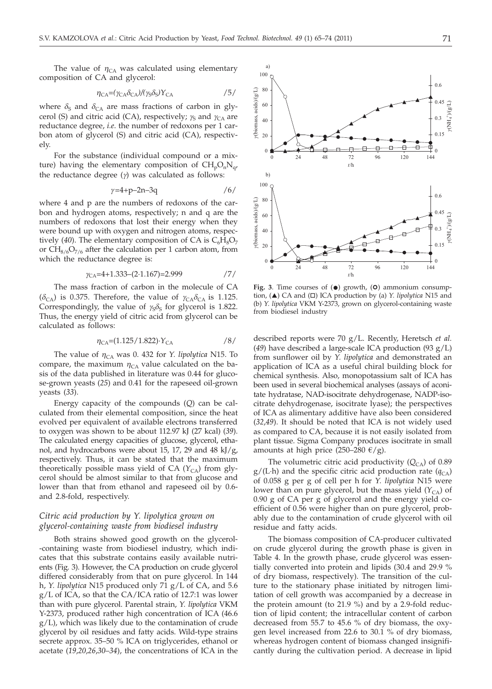The value of  $\eta_{CA}$  was calculated using elementary composition of CA and glycerol:

$$
\eta_{\text{CA}} = (\gamma_{\text{CA}} \delta_{\text{CA}}) / (\gamma_{\text{S}} \delta_{\text{S}}) Y_{\text{CA}} \tag{5}
$$

where  $\delta_S$  and  $\delta_{CA}$  are mass fractions of carbon in glycerol (S) and citric acid (CA), respectively;  $\gamma_S$  and  $\gamma_{CA}$  are reductance degree, *i.e*. the number of redoxons per 1 carbon atom of glycerol (S) and citric acid (CA), respectively.

For the substance (individual compound or a mixture) having the elementary composition of  $CH_pO_nN_q$ , the reductance degree (*g*) was calculated as follows:

$$
\gamma = 4 + p - 2n - 3q \tag{6}
$$

where 4 and p are the numbers of redoxons of the carbon and hydrogen atoms, respectively; n and q are the numbers of redoxons that lost their energy when they were bound up with oxygen and nitrogen atoms, respectively (40). The elementary composition of CA is  $C_6H_8O_7$ or  $CH_{8/6}O_{7/6}$  after the calculation per 1 carbon atom, from which the reductance degree is:

$$
\gamma_{\text{CA}} = 4 + 1.333 - (2 \cdot 1.167) = 2.999 \tag{7}
$$

The mass fraction of carbon in the molecule of CA  $(\delta_{CA})$  is 0.375. Therefore, the value of  $\gamma_{CA}\delta_{CA}$  is 1.125. Correspondingly, the value of  $\gamma_S \delta_S$  for glycerol is 1.822. Thus, the energy yield of citric acid from glycerol can be calculated as follows:

$$
\eta_{\text{CA}} = (1.125/1.822) \cdot Y_{\text{CA}} \tag{8}
$$

The value of  $\eta_{CA}$  was 0. 432 for *Y. lipolytica* N15. To compare, the maximum  $\eta_{CA}$  value calculated on the basis of the data published in literature was 0.44 for glucose-grown yeasts (*25*) and 0.41 for the rapeseed oil-grown yeasts (*33*).

Energy capacity of the compounds (*Q*) can be calculated from their elemental composition, since the heat evolved per equivalent of available electrons transferred to oxygen was shown to be about 112.97 kJ (27 kcal) (*39*). The calculated energy capacities of glucose, glycerol, ethanol, and hydrocarbons were about 15, 17, 29 and 48 kJ/g, respectively. Thus, it can be stated that the maximum theoretically possible mass yield of CA  $(Y_{CA})$  from glycerol should be almost similar to that from glucose and lower than that from ethanol and rapeseed oil by 0.6 and 2.8-fold, respectively.

# *Citric acid production by Y. lipolytica grown on glycerol-containing waste from biodiesel industry*

Both strains showed good growth on the glycerol- -containing waste from biodiesel industry, which indicates that this substrate contains easily available nutrients (Fig. 3). However, the CA production on crude glycerol differed considerably from that on pure glycerol. In 144 h, *Y. lipolytica* N15 produced only 71 g/L of CA, and 5.6 g/L of ICA, so that the CA/ICA ratio of 12.7:1 was lower than with pure glycerol. Parental strain, *Y. lipolytica* VKM Y-2373, produced rather high concentration of ICA (46.6 g/L), which was likely due to the contamination of crude glycerol by oil residues and fatty acids. Wild-type strains secrete approx. 35–50 % ICA on triglycerides, ethanol or acetate (*19*,*20*,*26*,*30*–*34*), the concentrations of ICA in the



Fig. 3. Time courses of  $(\bullet)$  growth,  $(\bullet)$  ammonium consumption, (A) CA and ( $\square$ ) ICA production by (a) *Y. lipolytica* N15 and (b) *Y. lipolytica* VKM Y-2373, grown on glycerol-containing waste from biodiesel industry

described reports were 70 g/L. Recently, Heretsch *et al.* (*49*) have described a large-scale ICA production (93 g/L) from sunflower oil by *Y. lipolytica* and demonstrated an application of ICA as a useful chiral building block for chemical synthesis. Also*,* monopotassium salt of ICA has been used in several biochemical analyses (assays of aconitate hydratase, NAD-isocitrate dehydrogenase, NADP-isocitrate dehydrogenase, isocitrate lyase); the perspectives of ICA as alimentary additive have also been considered (*32*,*49*). It should be noted that ICA is not widely used as compared to CA, because it is not easily isolated from plant tissue. Sigma Company produces isocitrate in small amounts at high price (250–280  $\epsilon$ /g).

The volumetric citric acid productivity  $(Q<sub>CA</sub>)$  of 0.89  $g/(L \cdot h)$  and the specific citric acid production rate  $(q_{CA})$ of 0.058 g per g of cell per h for *Y. lipolytica* N15 were lower than on pure glycerol, but the mass yield  $(Y_{CA})$  of 0.90 g of CA per g of glycerol and the energy yield coefficient of 0.56 were higher than on pure glycerol, probably due to the contamination of crude glycerol with oil residue and fatty acids.

The biomass composition of CA-producer cultivated on crude glycerol during the growth phase is given in Table 4. In the growth phase, crude glycerol was essentially converted into protein and lipids (30.4 and 29.9 % of dry biomass, respectively). The transition of the culture to the stationary phase initiated by nitrogen limitation of cell growth was accompanied by a decrease in the protein amount (to 21.9 %) and by a 2.9-fold reduction of lipid content; the intracellular content of carbon decreased from 55.7 to 45.6 % of dry biomass, the oxygen level increased from 22.6 to 30.1 % of dry biomass, whereas hydrogen content of biomass changed insignificantly during the cultivation period. A decrease in lipid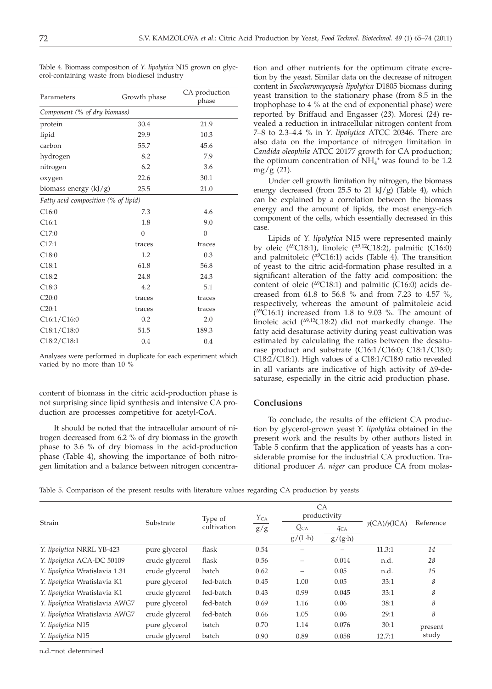Table 4. Biomass composition of *Y. lipolytica* N15 grown on glycerol-containing waste from biodiesel industry

| Parameters                          | Growth phase | CA production<br>phase |  |
|-------------------------------------|--------------|------------------------|--|
| Component (% of dry biomass)        |              |                        |  |
| protein                             | 30.4         | 21.9                   |  |
| lipid                               | 29.9         | 10.3                   |  |
| carbon                              | 55.7         | 45.6                   |  |
| hydrogen                            | 8.2          | 7.9                    |  |
| nitrogen                            | 6.2          | 3.6                    |  |
| oxygen                              | 22.6         | 30.1                   |  |
| biomass energy $(kJ/g)$             | 25.5         | 21.0                   |  |
| Fatty acid composition (% of lipid) |              |                        |  |
| C16:0                               | 7.3          | 4.6                    |  |
| C16:1                               | 1.8          | 9.0                    |  |
| C17:0                               | $\Omega$     | $\mathbf{0}$           |  |
| C17:1                               | traces       | traces                 |  |
| C18:0                               | 1.2          | 0.3                    |  |
| C18:1                               | 61.8         | 56.8                   |  |
| C18:2                               | 24.8         | 24.3                   |  |
| C18:3                               | 4.2          | 5.1                    |  |
| C20:0                               | traces       | traces                 |  |
| C20:1                               | traces       | traces                 |  |
| C16:1/C16:0                         | 0.2          | 2.0                    |  |
| C18:1/C18:0                         | 51.5         | 189.3                  |  |
| C18:2/C18:1                         | 0.4          | 0.4                    |  |

Analyses were performed in duplicate for each experiment which varied by no more than 10 %

content of biomass in the citric acid-production phase is not surprising since lipid synthesis and intensive CA production are processes competitive for acetyl-CoA.

It should be noted that the intracellular amount of nitrogen decreased from 6.2 % of dry biomass in the growth phase to 3.6 % of dry biomass in the acid-production phase (Table 4), showing the importance of both nitrogen limitation and a balance between nitrogen concentra-

tion and other nutrients for the optimum citrate excretion by the yeast. Similar data on the decrease of nitrogen content in *Saccharomycopsis lipolytica* D1805 biomass during yeast transition to the stationary phase (from 8.5 in the trophophase to 4 % at the end of exponential phase) were reported by Briffaud and Engasser (*23*). Moresi (*24*) revealed a reduction in intracellular nitrogen content from 7–8 to 2.3–4.4 % in *Y. lipolytica* ATCC 20346. There are also data on the importance of nitrogen limitation in *Candida oleophila* ATCC 20177 growth for CA production; the optimum concentration of  $NH<sub>4</sub><sup>+</sup>$  was found to be 1.2 mg/g (*21*).

Under cell growth limitation by nitrogen, the biomass energy decreased (from  $25.5$  to  $21 \text{ kJ/g}$ ) (Table 4), which can be explained by a correlation between the biomass energy and the amount of lipids, the most energy-rich component of the cells, which essentially decreased in this case.

Lipids of *Y. lipolytica* N15 were represented mainly by oleic ( $\triangle$ 9C18:1), linoleic ( $\triangle$ 9,12C18:2), palmitic (C16:0) and palmitoleic  $(^{\triangle 9}C16:1)$  acids (Table 4). The transition of yeast to the citric acid-formation phase resulted in a significant alteration of the fatty acid composition: the content of oleic ( $\triangle$ 9C18:1) and palmitic (C16:0) acids decreased from 61.8 to 56.8 % and from 7.23 to 4.57 %, respectively, whereas the amount of palmitoleic acid  $(^{49}C16:1)$  increased from 1.8 to 9.03 %. The amount of linoleic acid  $(^{\Delta 9,12}C18:2)$  did not markedly change. The fatty acid desaturase activity during yeast cultivation was estimated by calculating the ratios between the desaturase product and substrate (C16:1/C16:0; C18:1/C18:0; C18:2/C18:1). High values of a C18:1/C18:0 ratio revealed in all variants are indicative of high activity of  $\Delta$ 9-desaturase, especially in the citric acid production phase.

## **Conclusions**

To conclude, the results of the efficient CA production by glycerol-grown yeast *Y. lipolytica* obtained in the present work and the results by other authors listed in Table 5 confirm that the application of yeasts has a considerable promise for the industrial CA production. Traditional producer *A. niger* can produce CA from molas-

Table 5. Comparison of the present results with literature values regarding CA production by yeasts

|                                | Substrate      | Type of<br>cultivation | $Y_{CA}$<br>g/g | CA<br>productivity |                 |                               |           |
|--------------------------------|----------------|------------------------|-----------------|--------------------|-----------------|-------------------------------|-----------|
| Strain                         |                |                        |                 | $Q_{CA}$           | $q_{CA}$        | $\gamma$ (CA)/ $\gamma$ (ICA) | Reference |
|                                |                |                        |                 | $g/(L \cdot h)$    | $g/(g \cdot h)$ |                               |           |
| Y. lipolytica NRRL YB-423      | pure glycerol  | flask                  | 0.54            |                    |                 | 11.3:1                        | 14        |
| Y. lipolytica ACA-DC 50109     | crude glycerol | flask                  | 0.56            | -                  | 0.014           | n.d.                          | 28        |
| Y. lipolytica Wratislavia 1.31 | crude glycerol | batch                  | 0.62            | -                  | 0.05            | n.d.                          | 15        |
| Y. lipolytica Wratislavia K1   | pure glycerol  | fed-batch              | 0.45            | 1.00               | 0.05            | 33:1                          | 8         |
| Y. lipolytica Wratislavia K1   | crude glycerol | fed-batch              | 0.43            | 0.99               | 0.045           | 33:1                          | 8         |
| Y. lipolytica Wratislavia AWG7 | pure glycerol  | fed-batch              | 0.69            | 1.16               | 0.06            | 38:1                          | 8         |
| Y. lipolytica Wratislavia AWG7 | crude glycerol | fed-batch              | 0.66            | 1.05               | 0.06            | 29:1                          | 8         |
| Y. lipolytica N15              | pure glycerol  | batch                  | 0.70            | 1.14               | 0.076           | 30:1                          | present   |
| Y. lipolytica N15              | crude glycerol | batch                  | 0.90            | 0.89               | 0.058           | 12.7:1                        | study     |

n.d.=not determined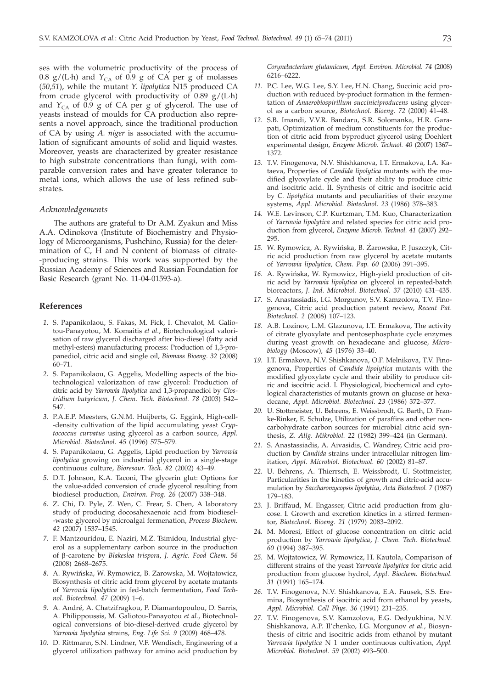ses with the volumetric productivity of the process of 0.8 g/(L·h) and  $Y_{CA}$  of 0.9 g of CA per g of molasses (*50*,*51*), while the mutant *Y. lipolytica* N15 produced CA from crude glycerol with productivity of 0.89  $g/(L \cdot h)$ and *Y*<sub>CA</sub> of 0.9 g of CA per g of glycerol. The use of yeasts instead of moulds for CA production also represents a novel approach, since the traditional production of CA by using *A. niger* is associated with the accumulation of significant amounts of solid and liquid wastes. Moreover, yeasts are characterized by greater resistance to high substrate concentrations than fungi, with comparable conversion rates and have greater tolerance to metal ions, which allows the use of less refined substrates.

## *Acknowledgements*

The authors are grateful to Dr A.M. Zyakun and Miss A.A. Odinokova (Institute of Biochemistry and Physiology of Microorganisms, Pushchino, Russia) for the determination of C, H and N content of biomass of citrate- -producing strains. This work was supported by the Russian Academy of Sciences and Russian Foundation for Basic Research (grant No. 11-04-01593-a).

## **References**

- *1.* S. Papanikolaou, S. Fakas, M. Fick, I. Chevalot, M. Galiotou-Panayotou, M. Komaitis *et al.*, Biotechnological valorisation of raw glycerol discharged after bio-diesel (fatty acid methyl-esters) manufacturing process: Production of 1,3-propanediol, citric acid and single oil, *Biomass Bioeng. 32* (2008) 60–71.
- *2.* S. Papanikolaou, G. Aggelis, Modelling aspects of the biotechnological valorization of raw glycerol: Production of citric acid by *Yarrowia lipolytica* and 1,3-propanediol by *Clostridium butyricum*, *J. Chem. Tech. Biotechnol. 78* (2003) 542– 547.
- *3.* P.A.E.P. Meesters, G.N.M. Huijberts, G. Eggink, High-cell- -density cultivation of the lipid accumulating yeast *Cryptococcus curvatus* using glycerol as a carbon source, *Appl. Microbiol. Biotechnol. 45* (1996) 575–579.
- *4.* S. Papanikolaou, G. Aggelis, Lipid production by *Yarrowia lipolytica* growing on industrial glycerol in a single-stage continuous culture, *Bioresour. Tech. 82* (2002) 43–49.
- *5.* D.T. Johnson, K.A. Taconi, The glycerin glut: Options for the value-added conversion of crude glycerol resulting from biodiesel production, *Environ. Prog. 26* (2007) 338–348.
- *6.* Z. Chi, D. Pyle, Z. Wen, C. Frear, S. Chen, A laboratory study of producing docosahexaenoic acid from biodiesel- -waste glycerol by microalgal fermenation, *Process Biochem. 42* (2007) 1537–1545.
- *7.* F. Mantzouridou, E. Naziri, M.Z. Tsimidou, Industrial glycerol as a supplementary carbon source in the production of b-carotene by *Blakeslea trispora*, *J. Agric. Food Chem. 56 8.* A. Rywinbska, W. Rymowicz, B. Zarowska, M. Wojtatowicz, (2008) 2668–2675.
- Biosynthesis of citric acid from glycerol by acetate mutants of *Yarrowia lipolytica* in fed-batch fermentation, *Food Technol. Biotechnol. 47* (2009) 1–6.
- *9.* A. André, A. Chatzifragkou, P. Diamantopoulou, D. Sarris, A. Philippoussis, M. Galiotou-Panayotou *et al.*, Biotechnological conversions of bio-diesel-derived crude glycerol by *Yarrowia lipolytica* strains, *Eng. Life Sci. 9* (2009) 468–478.
- *10.* D. Rittmann, S.N. Lindner, V.F. Wendisch, Engineering of a glycerol utilization pathway for amino acid production by

*Corynebacterium glutamicum*, *Appl. Environ. Microbiol. 74* (2008) 6216–6222.

- *11.* P.C. Lee, W.G. Lee, S.Y. Lee, H.N. Chang, Succinic acid production with reduced by-product formation in the fermentation of *Anaerobiospirillum succiniciproducens* using glycerol as a carbon source, *Biotechnol. Bioeng. 72* (2000) 41–48.
- *12.* S.B. Imandi, V.V.R. Bandaru, S.R. Solomanka, H.R. Garapati, Optimization of medium constituents for the production of citric acid from byproduct glycerol using Doehlert experimental design, *Enzyme Microb. Technol. 40* (2007) 1367– 1372.
- *13.* T.V. Finogenova, N.V. Shishkanova, I.T. Ermakova, I.A. Kataeva, Properties of *Candida lipolytica* mutants with the modified glyoxylate cycle and their ability to produce citric and isocitric acid. II. Synthesis of citric and isocitric acid by *C. lipolytica* mutants and peculiarities of their enzyme systems, *Appl. Microbiol. Biotechnol. 23* (1986) 378–383.
- *14.* W.E. Levinson, C.P. Kurtzman, T.M. Kuo, Characterization of *Yarrowia lipolytica* and related species for citric acid production from glycerol, *Enzyme Microb. Technol. 41* (2007) 292– 295. 16. *14110004 hpolytica* and felated species for chift actd production from glycerol, *Enzyme Microb. Technol.* 41 (2007) 292–295.<br>15. W. Rymowicz, A. Rywińska, B. Żarowska, P. Juszczyk, Cit-
- ric acid production from raw glycerol by acetate mutants of *Yarrowia lipolytica, Chem. Pap. 60* (2006) 391–395.
- 16. A. Rywińska, W. Rymowicz, High-yield production of citric acid by *Yarrowia lipolytica* on glycerol in repeated-batch bioreactors, *J. Ind. Microbiol. Biotechnol. 37* (2010) 431–435.
- *17.* S. Anastassiadis, I.G. Morgunov, S.V. Kamzolova, T.V. Finogenova, Citric acid production patent review, *Recent Pat. Biotechnol. 2* (2008) 107–123.
- *18.* A.B. Lozinov, L.M. Glazunova, I.T. Ermakova, The activity of citrate glyoxylate and pentosephosphate cycle enzymes during yeast growth on hexadecane and glucose, *Microbiology* (Moscow)*, 45* (1976) 33–40.
- *19.* I.T. Ermakova, N.V. Shishkanova, O.F. Melnikova, T.V. Finogenova, Properties of *Candida lipolytica* mutants with the modified glyoxylate cycle and their ability to produce citric and isocitric acid. I. Physiological, biochemical and cytological characteristics of mutants grown on glucose or hexadecane, *Appl. Microbiol. Biotechnol. 23* (1986) 372–377.
- *20.* U. Stottmeister, U. Behrens, E. Weissbrodt, G. Barth, D. Franke-Rinker, E. Schulze, Utilization of paraffins and other noncarbohydrate carbon sources for microbial citric acid synthesis, *Z. Allg. Mikrobiol. 22* (1982) 399–424 (in German).
- *21.* S. Anastassiadis, A. Aivasidis, C. Wandrey, Citric acid production by *Candida* strains under intracellular nitrogen limitation, *Appl. Microbiol. Biotechnol. 60* (2002) 81–87.
- *22.* U. Behrens, A. Thierrsch, E. Weissbrodt, U. Stottmeister, Particularities in the kinetics of growth and citric-acid accumulation by *Saccharomycopsis lipolytica*, *Acta Biotechnol. 7* (1987) 179–183.
- *23.* J. Briffaud, M. Engasser, Citric acid production from glucose. I. Growth and excretion kinetics in a stirred fermentor, *Biotechnol. Bioeng. 21* (1979) 2083–2092.
- *24.* M. Moresi, Effect of glucose concentration on citric acid production by *Yarrowia lipolytica*, *J. Chem. Tech. Biotechnol. 60* (1994) 387–395.
- *25.* M. Wojtatowicz, W. Rymowicz, H. Kautola, Comparison of different strains of the yeast *Yarrowia lipolytica* for citric acid production from glucose hydrol, *Appl. Biochem. Biotechnol. 31* (1991) 165–174.
- *26.* T.V. Finogenova, N.V. Shishkanova, E.A. Fausek, S.S. Eremina, Biosynthesis of isocitric acid from ethanol by yeasts, *Appl. Microbiol. Cell Phys. 36* (1991) 231–235.
- *27.* T.V. Finogenova, S.V. Kamzolova, E.G. Dedyukhina, N.V. Shishkanova, A.P. Il'chenko, I.G. Morgunov *et al.*, Biosynthesis of citric and isocitric acids from ethanol by mutant *Yarrowia lipolytica* N 1 under continuous cultivation, *Appl. Microbiol. Biotechnol. 59* (2002) 493–500.